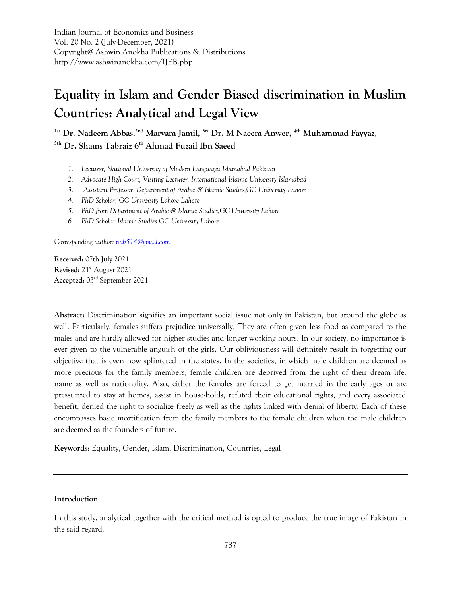Indian Journal of Economics and Business Vol. 20 No. 2 (July-December, 2021) Copyright@ Ashwin Anokha Publications & Distributions http://www.ashwinanokha.com/IJEB.php

# **Equality in Islam and Gender Biased discrimination in Muslim Countries: Analytical and Legal View**

1st **Dr. Nadeem Abbas,2nd Maryam Jamil, 3rd Dr. M Naeem Anwer, 4th Muhammad Fayyaz, 5th Dr. Shams Tabraiz 6th Ahmad Fuzail Ibn Saeed**

- *1. Lecturer, National University of Modern Languages Islamabad Pakistan*
- *2. Advocate High Court, Visiting Lecturer, International Islamic University Islamabad*
- *3. Assistant Professor Department of Arabic & Islamic Studies,GC University Lahore*
- *4. PhD Scholar, GC University Lahore Lahore*
- *5. PhD from Department of Arabic & Islamic Studies,GC University Lahore*
- *6. PhD Scholar Islamic Studies GC University Lahore*

*Corresponding author[: nab514@gmail.com](mailto:nab514@gmail.com)*

**Received:** 07th July 2021 **Revised:** 21st August 2021 **Accepted:** 03rd September 2021

**Abstract:** Discrimination signifies an important social issue not only in Pakistan, but around the globe as well. Particularly, females suffers prejudice universally. They are often given less food as compared to the males and are hardly allowed for higher studies and longer working hours. In our society, no importance is ever given to the vulnerable anguish of the girls. Our obliviousness will definitely result in forgetting our objective that is even now splintered in the states. In the societies, in which male children are deemed as more precious for the family members, female children are deprived from the right of their dream life, name as well as nationality. Also, either the females are forced to get married in the early ages or are pressurized to stay at homes, assist in house-holds, refuted their educational rights, and every associated benefit, denied the right to socialize freely as well as the rights linked with denial of liberty. Each of these encompasses basic mortification from the family members to the female children when the male children are deemed as the founders of future.

**Keywords**: Equality, Gender, Islam, Discrimination, Countries, Legal

# **Introduction**

In this study, analytical together with the critical method is opted to produce the true image of Pakistan in the said regard.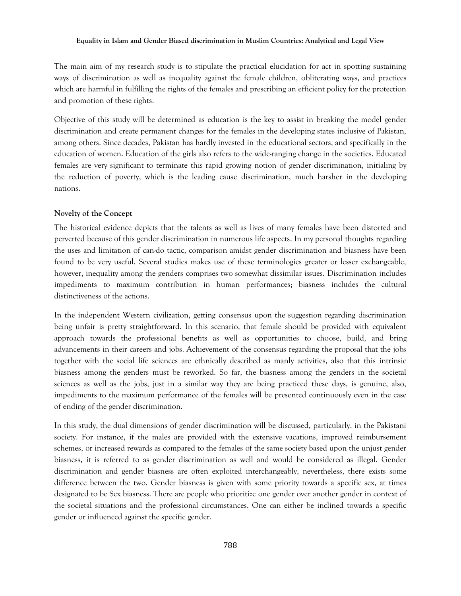The main aim of my research study is to stipulate the practical elucidation for act in spotting sustaining ways of discrimination as well as inequality against the female children, obliterating ways, and practices which are harmful in fulfilling the rights of the females and prescribing an efficient policy for the protection and promotion of these rights.

Objective of this study will be determined as education is the key to assist in breaking the model gender discrimination and create permanent changes for the females in the developing states inclusive of Pakistan, among others. Since decades, Pakistan has hardly invested in the educational sectors, and specifically in the education of women. Education of the girls also refers to the wide-ranging change in the societies. Educated females are very significant to terminate this rapid growing notion of gender discrimination, initialing by the reduction of poverty, which is the leading cause discrimination, much harsher in the developing nations.

#### **Novelty of the Concept**

The historical evidence depicts that the talents as well as lives of many females have been distorted and perverted because of this gender discrimination in numerous life aspects. In my personal thoughts regarding the uses and limitation of can-do tactic, comparison amidst gender discrimination and biasness have been found to be very useful. Several studies makes use of these terminologies greater or lesser exchangeable, however, inequality among the genders comprises two somewhat dissimilar issues. Discrimination includes impediments to maximum contribution in human performances; biasness includes the cultural distinctiveness of the actions.

In the independent Western civilization, getting consensus upon the suggestion regarding discrimination being unfair is pretty straightforward. In this scenario, that female should be provided with equivalent approach towards the professional benefits as well as opportunities to choose, build, and bring advancements in their careers and jobs. Achievement of the consensus regarding the proposal that the jobs together with the social life sciences are ethnically described as manly activities, also that this intrinsic biasness among the genders must be reworked. So far, the biasness among the genders in the societal sciences as well as the jobs, just in a similar way they are being practiced these days, is genuine, also, impediments to the maximum performance of the females will be presented continuously even in the case of ending of the gender discrimination.

In this study, the dual dimensions of gender discrimination will be discussed, particularly, in the Pakistani society. For instance, if the males are provided with the extensive vacations, improved reimbursement schemes, or increased rewards as compared to the females of the same society based upon the unjust gender biasness, it is referred to as gender discrimination as well and would be considered as illegal. Gender discrimination and gender biasness are often exploited interchangeably, nevertheless, there exists some difference between the two. Gender biasness is given with some priority towards a specific sex, at times designated to be Sex biasness. There are people who prioritize one gender over another gender in context of the societal situations and the professional circumstances. One can either be inclined towards a specific gender or influenced against the specific gender.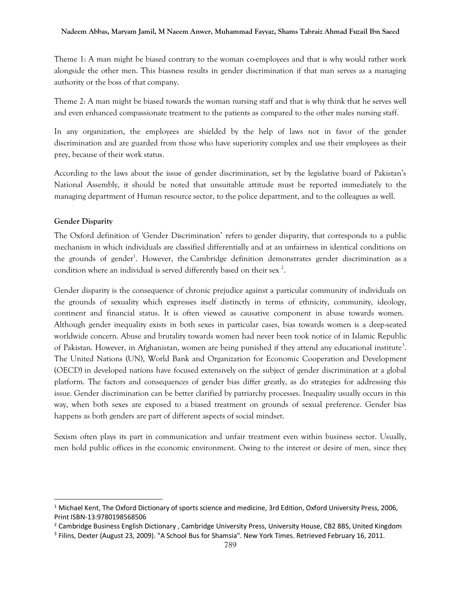Theme 1: A man might be biased contrary to the woman co-employees and that is why would rather work alongside the other men. This biasness results in gender discrimination if that man serves as a managing authority or the boss of that company.

Theme 2: A man might be biased towards the woman nursing staff and that is why think that he serves well and even enhanced compassionate treatment to the patients as compared to the other males nursing staff.

In any organization, the employees are shielded by the help of laws not in favor of the gender discrimination and are guarded from those who have superiority complex and use their employees as their prey, because of their work status.

According to the laws about the issue of gender discrimination, set by the legislative board of Pakistan's National Assembly, it should be noted that unsuitable attitude must be reported immediately to the managing department of Human resource sector, to the police department, and to the colleagues as well.

# **Gender Disparity**

 $\overline{a}$ 

The Oxford definition of 'Gender Discrimination' refers to gender disparity, that corresponds to a public mechanism in which individuals are classified differentially and at an unfairness in identical conditions on the grounds of gender<sup>1</sup>. However, the Cambridge definition demonstrates gender discrimination as a condition where an individual is served differently based on their sex  $^2$ .

Gender disparity is the consequence of chronic prejudice against a particular community of individuals on the grounds of sexuality which expresses itself distinctly in terms of ethnicity, community, ideology, continent and financial status. It is often viewed as causative component in abuse towards women. Although gender inequality exists in both sexes in particular cases, bias towards women is a deep-seated worldwide concern. Abuse and brutality towards women had never been took notice of in Islamic Republic of Pakistan. However, in Afghanistan, women are being punished if they attend any educational institute<sup>3</sup>. The United Nations (UN), World Bank and Organization for Economic Cooperation and Development (OECD) in developed nations have focused extensively on the subject of gender discrimination at a global platform. The factors and consequences of gender bias differ greatly, as do strategies for addressing this issue. Gender discrimination can be better clarified by patriarchy processes. Inequality usually occurs in this way, when both sexes are exposed to a biased treatment on grounds of sexual preference. Gender bias happens as both genders are part of different aspects of social mindset.

Sexism often plays its part in communication and unfair treatment even within business sector. Usually, men hold public offices in the economic environment. Owing to the interest or desire of men, since they

<sup>&</sup>lt;sup>1</sup> Michael Kent, The Oxford Dictionary of sports science and medicine, 3rd Edition, Oxford University Press, 2006, Print ISBN-13:9780198568506

<sup>&</sup>lt;sup>2</sup> Cambridge Business English Dictionary, Cambridge University Press, University House, CB2 8BS, United Kingdom

<sup>&</sup>lt;sup>3</sup> Filins, Dexter (August 23, 2009). "A School Bus for Shamsia". New York Times. Retrieved February 16, 2011.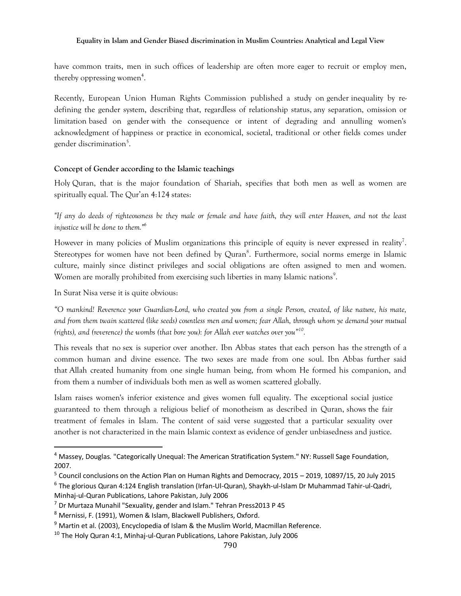have common traits, men in such offices of leadership are often more eager to recruit or employ men, thereby oppressing women<sup>4</sup>.

Recently, European Union Human Rights Commission published a study on gender inequality by redefining the gender system, describing that, regardless of relationship status, any separation, omission or limitation based on gender with the consequence or intent of degrading and annulling women's acknowledgment of happiness or practice in economical, societal, traditional or other fields comes under gender discrimination<sup>5</sup>.

# **Concept of Gender according to the Islamic teachings**

Holy Quran, that is the major foundation of Shariah, specifies that both men as well as women are spiritually equal. The Qur'an 4:124 states:

*"If any do deeds of righteousness be they male or female and have faith, they will enter Heaven, and not the least injustice will be done to them."<sup>6</sup>*

However in many policies of Muslim organizations this principle of equity is never expressed in reality<sup>7</sup>. Stereotypes for women have not been defined by Quran<sup>8</sup>. Furthermore, social norms emerge in Islamic culture, mainly since distinct privileges and social obligations are often assigned to men and women. Women are morally prohibited from exercising such liberties in many Islamic nations<sup>9</sup>.

In Surat Nisa verse it is quite obvious:

 $\overline{a}$ 

*"O mankind! Reverence your Guardian-Lord, who created you from a single Person, created, of like nature, his mate, and from them twain scattered (like seeds) countless men and women; fear Allah, through whom ye demand your mutual (rights), and (reverence) the wombs (that bore you): for Allah ever watches over you"<sup>10</sup> .*

This reveals that no sex is superior over another. Ibn Abbas states that each person has the strength of a common human and divine essence. The two sexes are made from one soul. Ibn Abbas further said that Allah created humanity from one single human being, from whom He formed his companion, and from them a number of individuals both men as well as women scattered globally.

Islam raises women's inferior existence and gives women full equality. The exceptional social justice guaranteed to them through a religious belief of monotheism as described in Quran, shows the fair treatment of females in Islam. The content of said verse suggested that a particular sexuality over another is not characterized in the main Islamic context as evidence of gender unbiasedness and justice.

<sup>4</sup> Massey, Douglas. "Categorically Unequal: The American Stratification System." NY: Russell Sage Foundation, 2007.

<sup>&</sup>lt;sup>5</sup> Council conclusions on the Action Plan on Human Rights and Democracy, 2015 - 2019, 10897/15, 20 July 2015

<sup>6</sup> The glorious Quran 4:124 English translation (Irfan-Ul-Quran), Shaykh-ul-Islam Dr Muhammad Tahir-ul-Qadri, Minhaj-ul-Quran Publications, Lahore Pakistan, July 2006

<sup>7</sup> Dr Murtaza Munahil "Sexuality, gender and Islam." Tehran Press2013 P 45

<sup>8</sup> Mernissi, F. (1991), Women & Islam, Blackwell Publishers, Oxford.

 $9$  Martin et al. (2003), Encyclopedia of Islam & the Muslim World, Macmillan Reference.

<sup>&</sup>lt;sup>10</sup> The Holy Quran 4:1, Minhaj-ul-Quran Publications, Lahore Pakistan, July 2006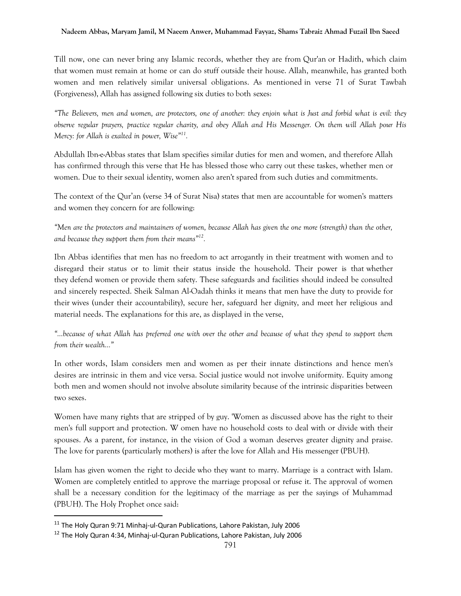Till now, one can never bring any Islamic records, whether they are from Qur'an or Hadith, which claim that women must remain at home or can do stuff outside their house. Allah, meanwhile, has granted both women and men relatively similar universal obligations. As mentioned in verse 71 of Surat Tawbah (Forgiveness), Allah has assigned following six duties to both sexes:

*"The Believers, men and women, are protectors, one of another: they enjoin what is Just and forbid what is evil: they observe regular prayers, practice regular charity, and obey Allah and His Messenger. On them will Allah pour His Mercy: for Allah is exalted in power, Wise"<sup>11</sup> .* 

Abdullah Ibn-e-Abbas states that Islam specifies similar duties for men and women, and therefore Allah has confirmed through this verse that He has blessed those who carry out these taskes, whether men or women. Due to their sexual identity, women also aren't spared from such duties and commitments.

The context of the Qur'an (verse 34 of Surat Nisa) states that men are accountable for women's matters and women they concern for are following:

*"Men are the protectors and maintainers of women, because Allah has given the one more (strength) than the other, and because they support them from their means"<sup>12</sup> .*

Ibn Abbas identifies that men has no freedom to act arrogantly in their treatment with women and to disregard their status or to limit their status inside the household. Their power is that whether they defend women or provide them safety. These safeguards and facilities should indeed be consulted and sincerely respected. Sheik Salman Al-Oadah thinks it means that men have the duty to provide for their wives (under their accountability), secure her, safeguard her dignity, and meet her religious and material needs. The explanations for this are, as displayed in the verse,

*"…because of what Allah has preferred one with over the other and because of what they spend to support them from their wealth…"*

In other words, Islam considers men and women as per their innate distinctions and hence men's desires are intrinsic in them and vice versa. Social justice would not involve uniformity. Equity among both men and women should not involve absolute similarity because of the intrinsic disparities between two sexes.

Women have many rights that are stripped of by guy. 'Women as discussed above has the right to their men's full support and protection. W omen have no household costs to deal with or divide with their spouses. As a parent, for instance, in the vision of God a woman deserves greater dignity and praise. The love for parents (particularly mothers) is after the love for Allah and His messenger (PBUH).

Islam has given women the right to decide who they want to marry. Marriage is a contract with Islam. Women are completely entitled to approve the marriage proposal or refuse it. The approval of women shall be a necessary condition for the legitimacy of the marriage as per the sayings of Muhammad (PBUH). The Holy Prophet once said:

 $\overline{a}$ 

<sup>&</sup>lt;sup>11</sup> The Holy Quran 9:71 Minhaj-ul-Quran Publications, Lahore Pakistan, July 2006

<sup>&</sup>lt;sup>12</sup> The Holy Quran 4:34, Minhaj-ul-Quran Publications, Lahore Pakistan, July 2006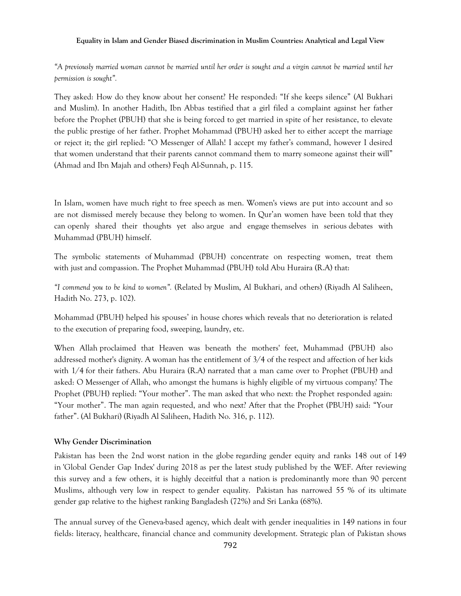*"A previously married woman cannot be married until her order is sought and a virgin cannot be married until her permission is sought".* 

They asked: How do they know about her consent? He responded: "If she keeps silence" (Al Bukhari and Muslim). In another Hadith, Ibn Abbas testified that a girl filed a complaint against her father before the Prophet (PBUH) that she is being forced to get married in spite of her resistance, to elevate the public prestige of her father. Prophet Mohammad (PBUH) asked her to either accept the marriage or reject it; the girl replied: "O Messenger of Allah! I accept my father's command, however I desired that women understand that their parents cannot command them to marry someone against their will" (Ahmad and Ibn Majah and others) Feqh Al-Sunnah, p. 115.

In Islam, women have much right to free speech as men. Women's views are put into account and so are not dismissed merely because they belong to women. In Qur'an women have been told that they can openly shared their thoughts yet also argue and engage themselves in serious debates with Muhammad (PBUH) himself.

The symbolic statements of Muhammad (PBUH) concentrate on respecting women, treat them with just and compassion. The Prophet Muhammad (PBUH) told Abu Huraira (R.A) that:

*"I commend you to be kind to women".* (Related by Muslim, Al Bukhari, and others) (Riyadh Al Saliheen, Hadith No. 273, p. 102).

Mohammad (PBUH) helped his spouses' in house chores which reveals that no deterioration is related to the execution of preparing food, sweeping, laundry, etc.

When Allah proclaimed that Heaven was beneath the mothers' feet, Muhammad (PBUH) also addressed mother's dignity. A woman has the entitlement of 3/4 of the respect and affection of her kids with 1/4 for their fathers. Abu Huraira (R.A) narrated that a man came over to Prophet (PBUH) and asked: O Messenger of Allah, who amongst the humans is highly eligible of my virtuous company? The Prophet (PBUH) replied: "Your mother". The man asked that who next: the Prophet responded again: "Your mother". The man again requested, and who next? After that the Prophet (PBUH) said: "Your father". (Al Bukhari) (Riyadh Al Saliheen, Hadith No. 316, p. 112).

#### **Why Gender Discrimination**

Pakistan has been the 2nd worst nation in the globe regarding gender equity and ranks 148 out of 149 in 'Global Gender Gap Index' during 2018 as per the latest study published by the WEF. After reviewing this survey and a few others, it is highly deceitful that a nation is predominantly more than 90 percent Muslims, although very low in respect to gender equality. Pakistan has narrowed 55 % of its ultimate gender gap relative to the highest ranking Bangladesh (72%) and Sri Lanka (68%).

The annual survey of the Geneva-based agency, which dealt with gender inequalities in 149 nations in four fields: literacy, healthcare, financial chance and community development. Strategic plan of Pakistan shows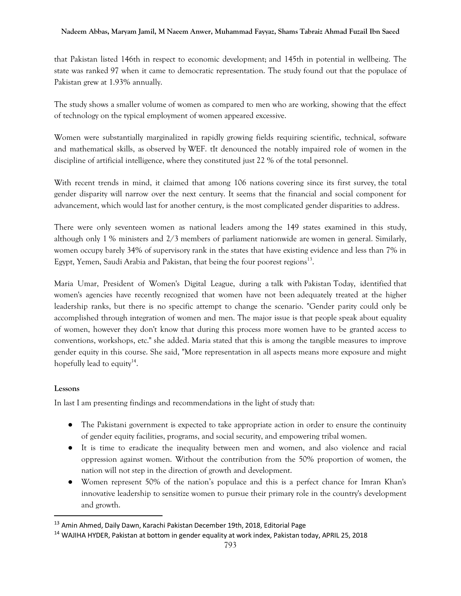that Pakistan listed 146th in respect to economic development; and 145th in potential in wellbeing. The state was ranked 97 when it came to democratic representation. The study found out that the populace of Pakistan grew at 1.93% annually.

The study shows a smaller volume of women as compared to men who are working, showing that the effect of technology on the typical employment of women appeared excessive.

Women were substantially marginalized in rapidly growing fields requiring scientific, technical, software and mathematical skills, as observed by WEF. tIt denounced the notably impaired role of women in the discipline of artificial intelligence, where they constituted just 22 % of the total personnel.

With recent trends in mind, it claimed that among 106 nations covering since its first survey, the total gender disparity will narrow over the next century. It seems that the financial and social component for advancement, which would last for another century, is the most complicated gender disparities to address.

There were only seventeen women as national leaders among the 149 states examined in this study, although only 1 % ministers and 2/3 members of parliament nationwide are women in general. Similarly, women occupy barely 34% of supervisory rank in the states that have existing evidence and less than 7% in Egypt, Yemen, Saudi Arabia and Pakistan, that being the four poorest regions<sup>13</sup>.

Maria Umar, President of Women's Digital League, during a talk with Pakistan Today, identified that women's agencies have recently recognized that women have not been adequately treated at the higher leadership ranks, but there is no specific attempt to change the scenario. "Gender parity could only be accomplished through integration of women and men. The major issue is that people speak about equality of women, however they don't know that during this process more women have to be granted access to conventions, workshops, etc." she added. Maria stated that this is among the tangible measures to improve gender equity in this course. She said, "More representation in all aspects means more exposure and might hopefully lead to equity<sup>14</sup>.

# **Lessons**

 $\overline{a}$ 

In last I am presenting findings and recommendations in the light of study that:

- The Pakistani government is expected to take appropriate action in order to ensure the continuity of gender equity facilities, programs, and social security, and empowering tribal women.
- It is time to eradicate the inequality between men and women, and also violence and racial oppression against women. Without the contribution from the 50% proportion of women, the nation will not step in the direction of growth and development.
- Women represent 50% of the nation's populace and this is a perfect chance for Imran Khan's innovative leadership to sensitize women to pursue their primary role in the country's development and growth.

<sup>&</sup>lt;sup>13</sup> Amin Ahmed, Daily Dawn, Karachi Pakistan December 19th, 2018, Editorial Page

<sup>&</sup>lt;sup>14</sup> WAJIHA HYDER, Pakistan at bottom in gender equality at work index, Pakistan today, APRIL 25, 2018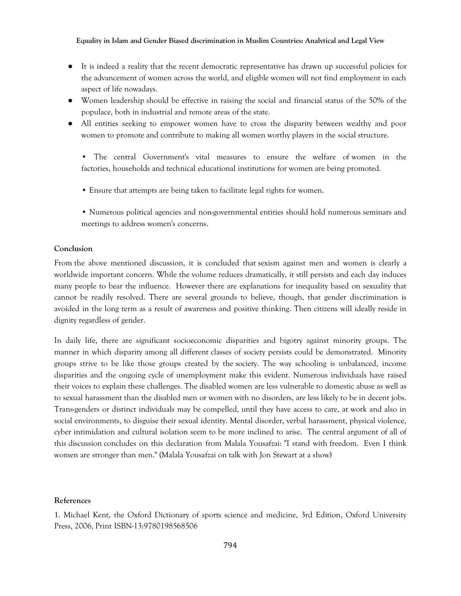- It is indeed a reality that the recent democratic representative has drawn up successful policies for the advancement of women across the world, and eligible women will not find employment in each aspect of life nowadays.
- Women leadership should be effective in raising the social and financial status of the 50% of the populace, both in industrial and remote areas of the state.
- All entities seeking to empower women have to cross the disparity between wealthy and poor women to promote and contribute to making all women worthy players in the social structure.
	- The central Government's vital measures to ensure the welfare of women in the factories, households and technical educational institutions for women are being promoted.
	- Ensure that attempts are being taken to facilitate legal rights for women.
	- Numerous political agencies and non-governmental entities should hold numerous seminars and meetings to address women's concerns.

# **Conclusion**

From the above mentioned discussion, it is concluded that sexism against men and women is clearly a worldwide important concern. While the volume reduces dramatically, it still persists and each day induces many people to bear the influence. However there are explanations for inequality based on sexuality that cannot be readily resolved. There are several grounds to believe, though, that gender discrimination is avoided in the long term as a result of awareness and positive thinking. Then citizens will ideally reside in dignity regardless of gender.

In daily life, there are significant socioeconomic disparities and bigotry against minority groups. The manner in which disparity among all different classes of society persists could be demonstrated. Minority groups strive to be like those groups created by the society. The way schooling is unbalanced, income disparities and the ongoing cycle of unemployment make this evident. Numerous individuals have raised their voices to explain these challenges. The disabled women are less vulnerable to domestic abuse as well as to sexual harassment than the disabled men or women with no disorders, are less likely to be in decent jobs. Trans-genders or distinct individuals may be compelled, until they have access to care, at work and also in social environments, to disguise their sexual identity. Mental disorder, verbal harassment, physical violence, cyber intimidation and cultural isolation seem to be more inclined to arise. The central argument of all of this discussion concludes on this declaration from Malala Yousafzai: "I stand with freedom. Even I think women are stronger than men." (Malala Yousafzai on talk with Jon Stewart at a show)

#### **References**

1. Michael Kent, the Oxford Dictionary of sports science and medicine, 3rd Edition, Oxford University Press, 2006, Print ISBN-13:9780198568506